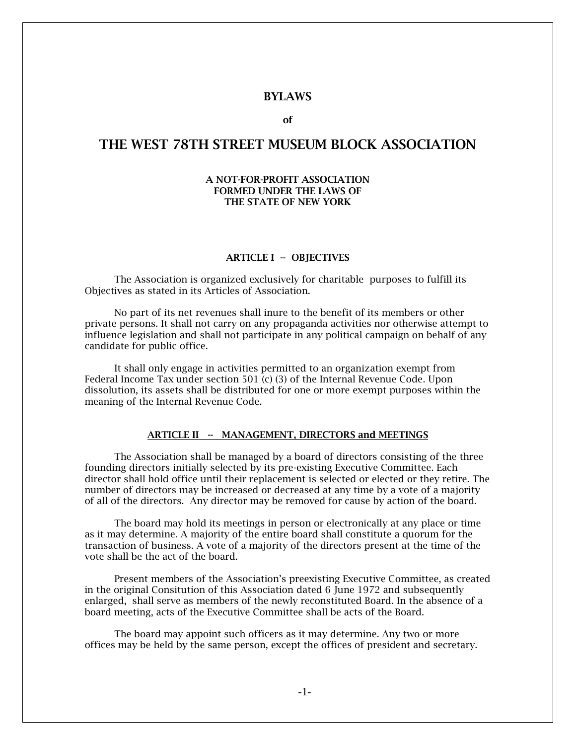## BYLAWS

of

# THE WEST 78TH STREET MUSEUM BLOCK ASSOCIATION

#### A NOT-FOR-PROFIT ASSOCIATION FORMED UNDER THE LAWS OF THE STATE OF NEW YORK

#### ARTICLE I -- OBJECTIVES

The Association is organized exclusively for charitable purposes to fulfill its Objectives as stated in its Articles of Association.

No part of its net revenues shall inure to the benefit of its members or other private persons. It shall not carry on any propaganda activities nor otherwise attempt to influence legislation and shall not participate in any political campaign on behalf of any candidate for public office.

It shall only engage in activities permitted to an organization exempt from Federal Income Tax under section 501 (c) (3) of the Internal Revenue Code. Upon dissolution, its assets shall be distributed for one or more exempt purposes within the meaning of the Internal Revenue Code.

### ARTICLE II - MANAGEMENT, DIRECTORS and MEETINGS

The Association shall be managed by a board of directors consisting of the three founding directors initially selected by its pre-existing Executive Committee. Each director shall hold office until their replacement is selected or elected or they retire. The number of directors may be increased or decreased at any time by a vote of a majority of all of the directors. Any director may be removed for cause by action of the board.

The board may hold its meetings in person or electronically at any place or time as it may determine. A majority of the entire board shall constitute a quorum for the transaction of business. A vote of a majority of the directors present at the time of the vote shall be the act of the board.

Present members of the Association's preexisting Executive Committee, as created in the original Consitution of this Association dated 6 June 1972 and subsequently enlarged, shall serve as members of the newly reconstituted Board. In the absence of a board meeting, acts of the Executive Committee shall be acts of the Board.

The board may appoint such officers as it may determine. Any two or more offices may be held by the same person, except the offices of president and secretary.